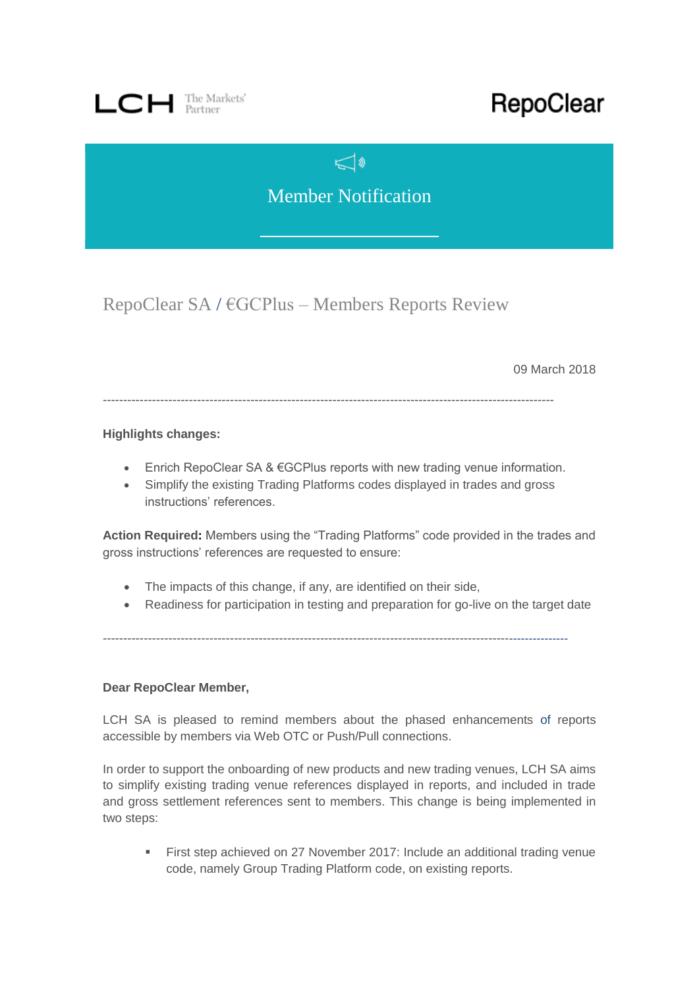

# RepoClear

 $\mathbb{C}^{\mathbb{Z}}$ 

Member Notification

RepoClear SA / €GCPlus – Members Reports Review

09 March 2018

--------------------------------------------------------------------------------------------------------------

#### **Highlights changes:**

- Enrich RepoClear SA & €GCPlus reports with new trading venue information.
- Simplify the existing Trading Platforms codes displayed in trades and gross instructions' references.

**Action Required:** Members using the "Trading Platforms" code provided in the trades and gross instructions' references are requested to ensure:

- The impacts of this change, if any, are identified on their side,
- Readiness for participation in testing and preparation for go-live on the target date

------------------------------------------------------------------------------------------------------------------

#### **Dear RepoClear Member,**

LCH SA is pleased to remind members about the phased enhancements of reports accessible by members via Web OTC or Push/Pull connections.

In order to support the onboarding of new products and new trading venues, LCH SA aims to simplify existing trading venue references displayed in reports, and included in trade and gross settlement references sent to members. This change is being implemented in two steps:

First step achieved on 27 November 2017: Include an additional trading venue code, namely Group Trading Platform code, on existing reports.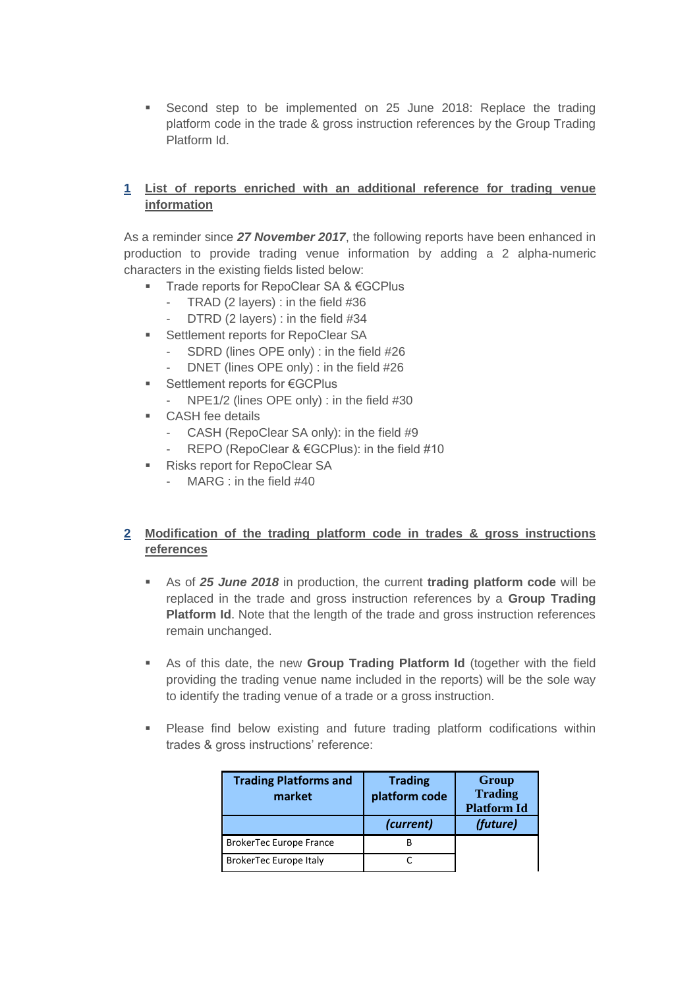Second step to be implemented on 25 June 2018: Replace the trading platform code in the trade & gross instruction references by the Group Trading Platform Id.

#### **1 List of reports enriched with an additional reference for trading venue information**

As a reminder since *27 November 2017*, the following reports have been enhanced in production to provide trading venue information by adding a 2 alpha-numeric characters in the existing fields listed below:

- Trade reports for RepoClear SA & €GCPlus
	- TRAD (2 layers) : in the field #36
	- DTRD (2 layers) : in the field #34
- Settlement reports for RepoClear SA
	- SDRD (lines OPE only) : in the field #26
	- DNET (lines OPE only) : in the field #26
- Settlement reports for €GCPlus
	- NPE1/2 (lines OPE only) : in the field #30
- CASH fee details
	- CASH (RepoClear SA only): in the field #9
	- REPO (RepoClear & €GCPlus): in the field #10
- Risks report for RepoClear SA
	- MARG : in the field #40

## **2 Modification of the trading platform code in trades & gross instructions references**

- As of *25 June 2018* in production, the current **trading platform code** will be replaced in the trade and gross instruction references by a **Group Trading Platform Id**. Note that the length of the trade and gross instruction references remain unchanged.
- As of this date, the new **Group Trading Platform Id** (together with the field providing the trading venue name included in the reports) will be the sole way to identify the trading venue of a trade or a gross instruction.
- Please find below existing and future trading platform codifications within trades & gross instructions' reference:

| <b>Trading Platforms and</b><br>market | <b>Trading</b><br>platform code | Group<br><b>Trading</b><br><b>Platform Id</b> |
|----------------------------------------|---------------------------------|-----------------------------------------------|
|                                        | (current)                       | (future)                                      |
| <b>BrokerTec Europe France</b>         | ĸ                               |                                               |
| BrokerTec Europe Italy                 |                                 |                                               |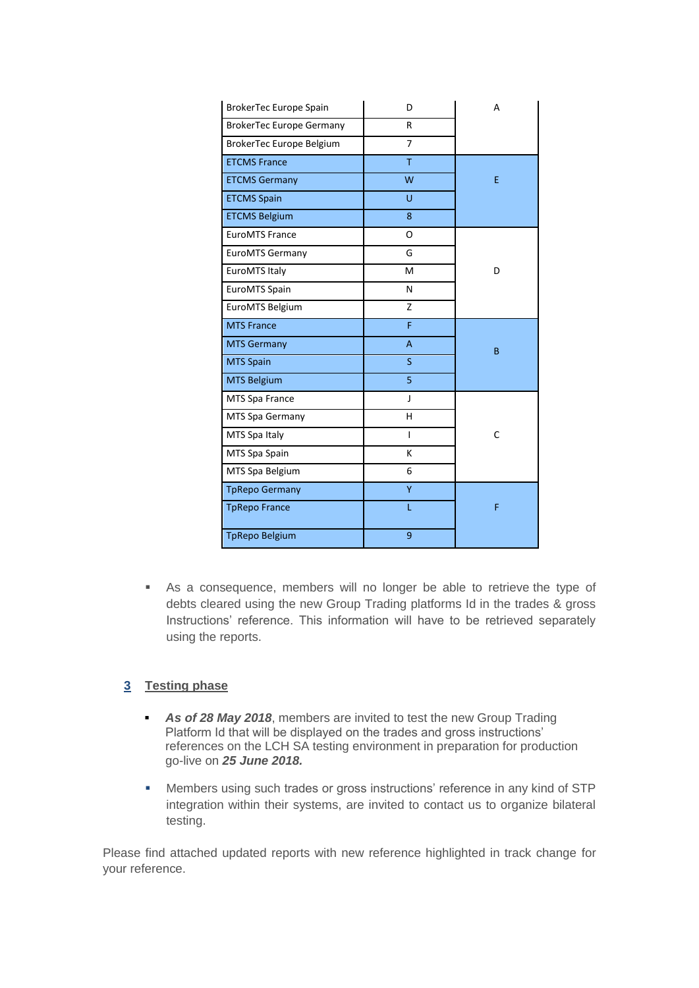| BrokerTec Europe Spain          | D              | A |
|---------------------------------|----------------|---|
| <b>BrokerTec Europe Germany</b> | R              |   |
| BrokerTec Europe Belgium        | $\overline{7}$ |   |
| <b>ETCMS France</b>             | T              |   |
| <b>ETCMS Germany</b>            | W              | E |
| <b>ETCMS Spain</b>              | Ù              |   |
| <b>ETCMS Belgium</b>            | 8              |   |
| <b>EuroMTS France</b>           | O              |   |
| <b>EuroMTS Germany</b>          | G              |   |
| EuroMTS Italy                   | м              | D |
| EuroMTS Spain                   | N              |   |
| EuroMTS Belgium                 | Z              |   |
| <b>MTS France</b>               | F              |   |
| <b>MTS Germany</b>              | A              | B |
| <b>MTS Spain</b>                | S              |   |
| <b>MTS Belgium</b>              | 5              |   |
| MTS Spa France                  | J              |   |
| MTS Spa Germany                 | н              |   |
| MTS Spa Italy                   | $\overline{1}$ | C |
| MTS Spa Spain                   | K              |   |
| MTS Spa Belgium                 | 6              |   |
| <b>TpRepo Germany</b>           | Ÿ              |   |
| <b>TpRepo France</b>            | L              | F |
| <b>TpRepo Belgium</b>           | 9              |   |

 As a consequence, members will no longer be able to retrieve the type of debts cleared using the new Group Trading platforms Id in the trades & gross Instructions' reference. This information will have to be retrieved separately using the reports.

## **3 Testing phase**

- **As of 28 May 2018**, members are invited to test the new Group Trading Platform Id that will be displayed on the trades and gross instructions' references on the LCH SA testing environment in preparation for production go-live on *25 June 2018.*
- Members using such trades or gross instructions' reference in any kind of STP integration within their systems, are invited to contact us to organize bilateral testing.

Please find attached updated reports with new reference highlighted in track change for your reference.